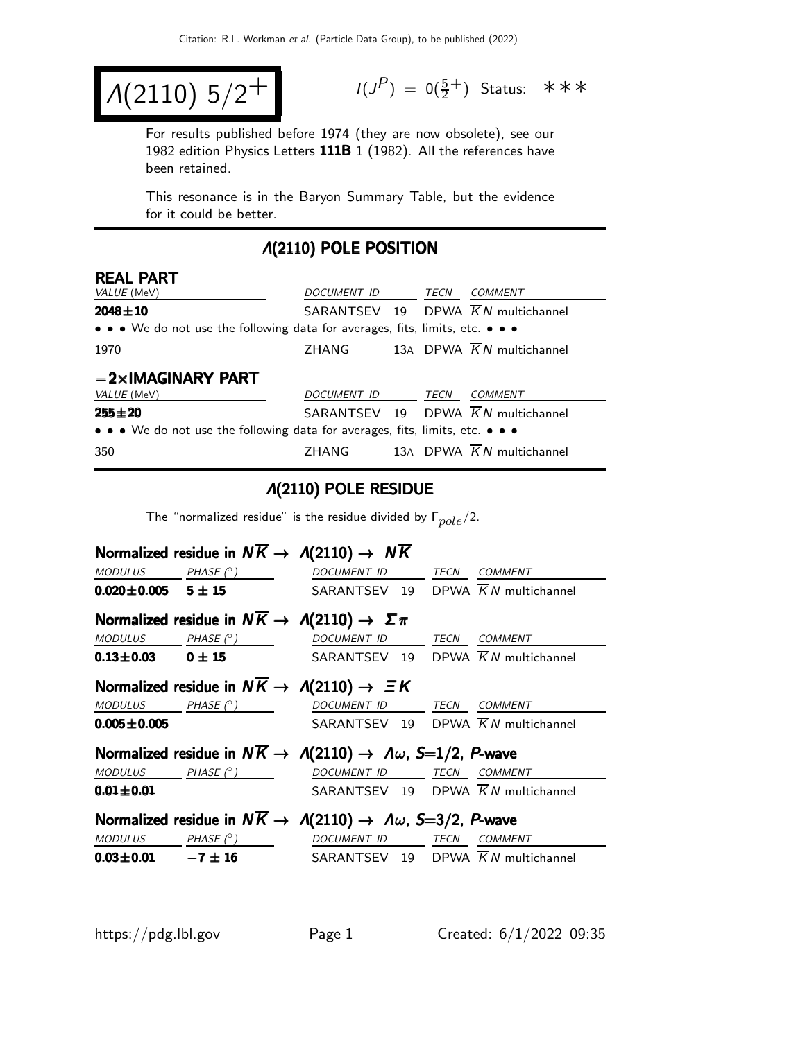$$
A(2110) 5/2^+
$$

 $(P) = 0(\frac{5}{2}^+)$  Status: \*\*\*

For results published before 1974 (they are now obsolete), see our 1982 edition Physics Letters  $111B$   $1$  (1982). All the references have been retained.

This resonance is in the Baryon Summary Table, but the evidence for it could be better.

#### Λ(2110) POLE POSITION

| <b>REAL PART</b>                                                              |                    |  |      |                                                |  |  |  |
|-------------------------------------------------------------------------------|--------------------|--|------|------------------------------------------------|--|--|--|
| VALUE (MeV)                                                                   | DOCUMENT ID        |  | TECN | COMMENT                                        |  |  |  |
| $2048 \pm 10$                                                                 |                    |  |      | SARANTSEV 19 DPWA KN multichannel              |  |  |  |
| • • • We do not use the following data for averages, fits, limits, etc. • • • |                    |  |      |                                                |  |  |  |
| 1970                                                                          | ZHANG              |  |      | 13A DPWA $\overline{K}N$ multichannel          |  |  |  |
| $-2\times$ IMAGINARY PART                                                     |                    |  |      |                                                |  |  |  |
| <i>VALUE</i> (MeV)                                                            | <b>DOCUMENT ID</b> |  | TECN | COMMENT                                        |  |  |  |
| $255 \pm 20$                                                                  |                    |  |      | SARANTSEV 19 DPWA $\overline{K}N$ multichannel |  |  |  |
| • • • We do not use the following data for averages, fits, limits, etc. • • • |                    |  |      |                                                |  |  |  |
| 350                                                                           | <b>ZHANG</b>       |  |      | 13A DPWA $\overline{K}N$ multichannel          |  |  |  |

#### Λ(2110) POLE RESIDUE

The "normalized residue" is the residue divided by  $\Gamma_{pole}/2$ .

|                              |                              | Normalized residue in $N\overline{K} \rightarrow A(2110) \rightarrow N\overline{K}$        |                                                |
|------------------------------|------------------------------|--------------------------------------------------------------------------------------------|------------------------------------------------|
|                              | MODULUS PHASE $(^\circ)$     | DOCUMENT ID TECN COMMENT                                                                   |                                                |
| $0.020 \pm 0.005$ 5 $\pm$ 15 |                              |                                                                                            | SARANTSEV 19 DPWA $\overline{K}N$ multichannel |
|                              |                              | Normalized residue in $N\overline{K} \to \Lambda(2110) \to \Sigma \pi$                     |                                                |
| <b>MODULUS</b>               |                              | $PHASE (^\circ)$ DOCUMENT ID TECN COMMENT                                                  |                                                |
|                              | $0.13 \pm 0.03$ 0 $\pm$ 15   |                                                                                            | SARANTSEV 19 DPWA $\overline{K}N$ multichannel |
|                              |                              | Normalized residue in $N\overline{K} \rightarrow A(2110) \rightarrow \Xi K$                |                                                |
| <b>MODULUS</b>               | $PHASE$ ( $^{\circ}$ )       | DOCUMENT ID TECN COMMENT                                                                   |                                                |
| $0.005 \pm 0.005$            |                              |                                                                                            | SARANTSEV 19 DPWA $\overline{K}N$ multichannel |
|                              |                              | Normalized residue in $N\overline{K} \to \Lambda(2110) \to \Lambda \omega$ , S=1/2, P-wave |                                                |
|                              | $MODULUS$ PHASE $(^{\circ})$ | DOCUMENT ID TECN                                                                           | <b>COMMENT</b>                                 |
| $0.01 \pm 0.01$              |                              |                                                                                            | SARANTSEV 19 DPWA $\overline{K}N$ multichannel |
|                              |                              | Normalized residue in $N\overline{K} \to \Lambda(2110) \to \Lambda \omega$ , S=3/2, P-wave |                                                |
|                              | $MODULUS$ $PHASE (°)$        | DOCUMENT ID                                                                                | <b>TECN</b><br>COMMENT                         |
| $0.03 \pm 0.01$ $-7 \pm 16$  |                              |                                                                                            | SARANTSEV 19 DPWA $\overline{K}N$ multichannel |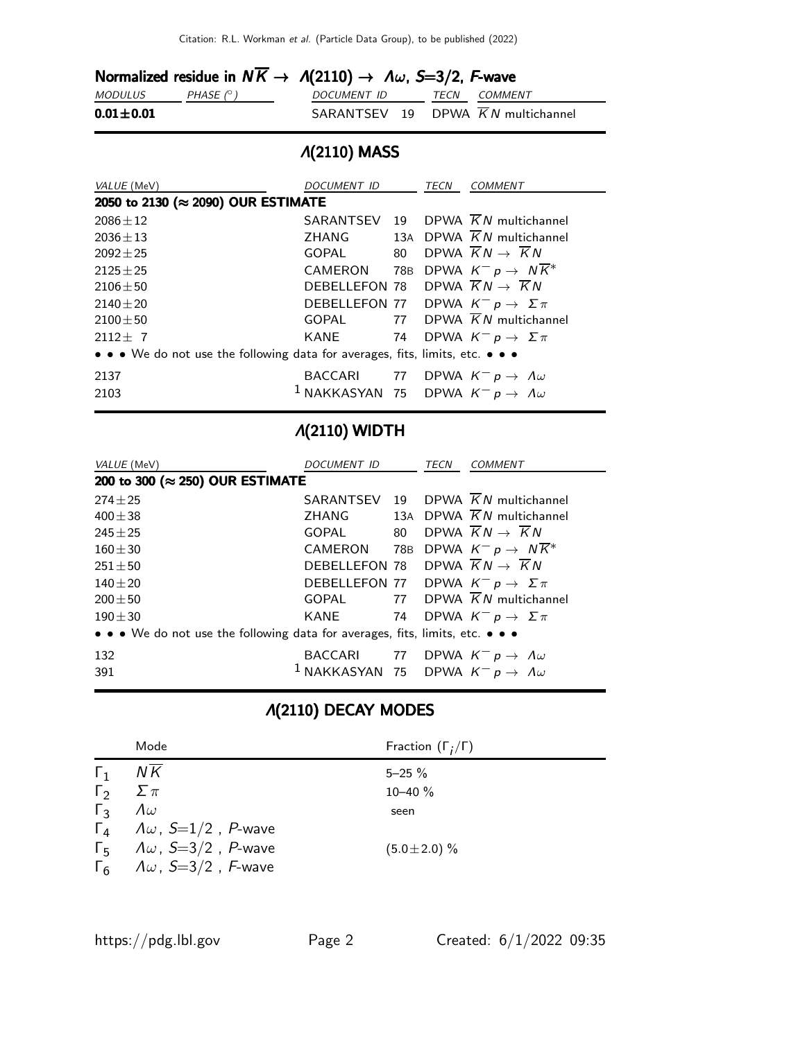|                 |                  | Normalized residue in $N\overline{K} \to \Lambda(2110) \to \Lambda \omega$ , S=3/2, F-wave |                     |
|-----------------|------------------|--------------------------------------------------------------------------------------------|---------------------|
| <i>MODULUS</i>  | PHASE $(^\circ)$ | DOCUMENT ID                                                                                | <i>TECN COMMENT</i> |
| $0.01 \pm 0.01$ |                  | SARANTSEV 19 DPWA $\overline{K}N$ multichannel                                             |                     |

# Λ(2110) MASS

| VALUE (MeV)                                                                   | DOCUMENT ID                                                  | TECN | <b>COMMENT</b>                                 |
|-------------------------------------------------------------------------------|--------------------------------------------------------------|------|------------------------------------------------|
| 2050 to 2130 (≈ 2090) OUR ESTIMATE                                            |                                                              |      |                                                |
| $2086 + 12$                                                                   |                                                              |      | SARANTSEV 19 DPWA $\overline{K}N$ multichannel |
| $2036 \pm 13$                                                                 | ZHANG                                                        |      | 13A DPWA $\overline{K}N$ multichannel          |
| $2092 + 25$                                                                   | GOPAL 80                                                     |      | DPWA $\overline{K}N \rightarrow \overline{K}N$ |
| $2125 + 25$                                                                   | CAMERON                                                      |      | 78B DPWA $K^- p \rightarrow N \overline{K}^*$  |
| $2106 + 50$                                                                   | DEBELLEFON 78 DPWA $\overline{K}N \rightarrow \overline{K}N$ |      |                                                |
| $2140 + 20$                                                                   | DEBELLEFON 77 DPWA $K^- p \to \Sigma \pi$                    |      |                                                |
| $2100 + 50$                                                                   | GOPAL                                                        |      | 77 DPWA $\overline{K}N$ multichannel           |
| $2112+7$                                                                      | KANE 74                                                      |      | DPWA $K^- p \to \Sigma \pi$                    |
| • • • We do not use the following data for averages, fits, limits, etc. • • • |                                                              |      |                                                |
| 2137                                                                          | BACCARI 77 DPWA $K^- p \to \Lambda \omega$                   |      |                                                |
| 2103                                                                          | $^1$ NAKKASYAN 75 DPWA $K^ p \rightarrow A\omega$            |      |                                                |
|                                                                               |                                                              |      |                                                |

# Λ(2110) WIDTH

| VALUE (MeV)                                                                   | DOCUMENT ID                                                  |    | <b>TECN</b><br><b>COMMENT</b>                  |  |
|-------------------------------------------------------------------------------|--------------------------------------------------------------|----|------------------------------------------------|--|
| 200 to 300 (≈ 250) OUR ESTIMATE                                               |                                                              |    |                                                |  |
| $274 \pm 25$                                                                  | SARANTSEV                                                    |    | 19 DPWA $\overline{K}N$ multichannel           |  |
| $400 \pm 38$                                                                  | ZHANG                                                        |    | 13A DPWA $\overline{K}N$ multichannel          |  |
| $245 + 25$                                                                    | GOPAL                                                        | 80 | DPWA $\overline{K}N \rightarrow \overline{K}N$ |  |
| $160 + 30$                                                                    | CAMERON                                                      |    | 78B DPWA $K^- p \rightarrow N \overline{K}^*$  |  |
| $251 \pm 50$                                                                  | DEBELLEFON 78 DPWA $\overline{K}N \rightarrow \overline{K}N$ |    |                                                |  |
| $140 + 20$                                                                    | DEBELLEFON 77 DPWA $K^- p \to \Sigma \pi$                    |    |                                                |  |
| $200 + 50$                                                                    | GOPAL                                                        |    | 77 DPWA $\overline{K}N$ multichannel           |  |
| $190 + 30$                                                                    | KANE                                                         |    | 74 DPWA $K^- p \to \Sigma \pi$                 |  |
| • • • We do not use the following data for averages, fits, limits, etc. • • • |                                                              |    |                                                |  |
| 132                                                                           | BACCARI 77 DPWA $K^- p \to \Lambda \omega$                   |    |                                                |  |
| 391                                                                           | $^1$ NAKKASYAN 75 DPWA $K^ p \rightarrow A \omega$           |    |                                                |  |

# Λ(2110) DECAY MODES

|              | Mode                                        | Fraction $(\Gamma_i/\Gamma)$ |
|--------------|---------------------------------------------|------------------------------|
| $\Gamma_1$   | N K                                         | $5 - 25 \%$                  |
|              | $\Gamma_2 \quad \Sigma \pi$                 | $10 - 40 \%$                 |
| $\Gamma_{3}$ | $\Lambda \omega$                            | seen                         |
|              | $\Gamma_4$ $\Lambda \omega$ , S=1/2, P-wave |                              |
|              | $\Gamma_5$ $\Lambda \omega$ , S=3/2, P-wave | $(5.0 \pm 2.0)$ %            |
|              | $\Gamma_6$ $\Lambda \omega$ , S=3/2, F-wave |                              |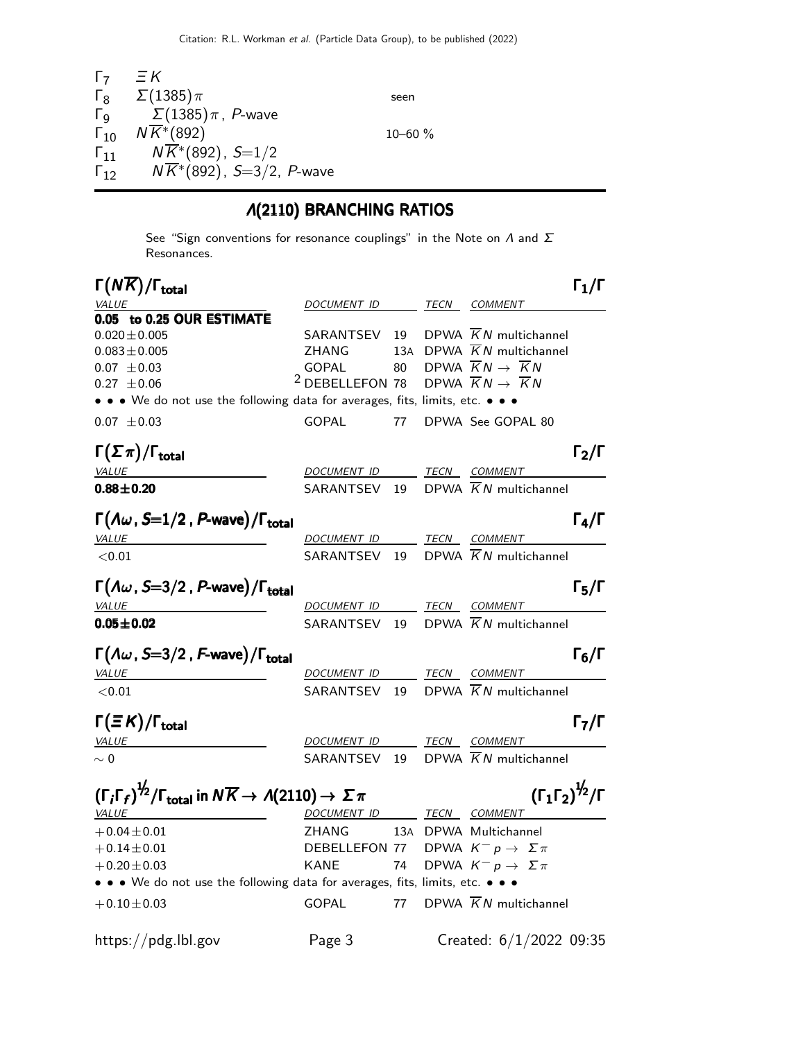| Г7                     | $\Xi K$                               |              |  |
|------------------------|---------------------------------------|--------------|--|
| $\mathsf{L}^8$         | $\Sigma(1385)\pi$                     | seen         |  |
| Γg                     | $\Sigma(1385)\pi$ , P-wave            |              |  |
| $\Gamma_{10}$          | $N\overline{K}$ <sup>*</sup> (892)    | $10 - 60 \%$ |  |
| $\mathsf{\Gamma}_{11}$ | $N\overline{K}$ *(892), S=1/2         |              |  |
| $\Gamma_{12}$          | $N\overline{K}$ *(892), S=3/2, P-wave |              |  |
|                        |                                       |              |  |

### Λ(2110) BRANCHING RATIOS

See "Sign conventions for resonance couplings" in the Note on  $\Lambda$  and  $\Sigma$ Resonances.

| $\Gamma(NK)/\Gamma_{\rm total}$                                                                                                   |                            |     |      |                                                | $\Gamma_1/\Gamma$ |
|-----------------------------------------------------------------------------------------------------------------------------------|----------------------------|-----|------|------------------------------------------------|-------------------|
| <b>VALUE</b>                                                                                                                      | DOCUMENT ID                |     |      | TECN COMMENT                                   |                   |
| 0.05 to 0.25 OUR ESTIMATE                                                                                                         |                            |     |      |                                                |                   |
| $0.020 \pm 0.005$                                                                                                                 | SARANTSEV                  | 19  |      | DPWA $\overline{K}N$ multichannel              |                   |
| $0.083 \pm 0.005$                                                                                                                 | ZHANG                      | 13A |      | DPWA $\overline{K}N$ multichannel              |                   |
| $0.07 \pm 0.03$                                                                                                                   | <b>GOPAL</b>               | 80  |      | DPWA $\overline{K}N \rightarrow \overline{K}N$ |                   |
| $0.27 \pm 0.06$                                                                                                                   | <sup>2</sup> DEBELLEFON 78 |     |      | DPWA $\overline{K}N \rightarrow \overline{K}N$ |                   |
| • • • We do not use the following data for averages, fits, limits, etc. • • •                                                     |                            |     |      |                                                |                   |
| $0.07 \pm 0.03$                                                                                                                   | <b>GOPAL</b>               | 77  |      | DPWA See GOPAL 80                              |                   |
| $\Gamma(\Sigma \pi)/\Gamma_{\rm total}$                                                                                           |                            |     |      |                                                | $\Gamma_2/\Gamma$ |
| <b>VALUE</b>                                                                                                                      | <b>DOCUMENT ID</b>         |     |      | TECN COMMENT                                   |                   |
| $0.88 \pm 0.20$                                                                                                                   | SARANTSEV                  | 19  |      | DPWA $\overline{K}N$ multichannel              |                   |
| $\Gamma(\varLambda\omega$ , S=1/2 , P-wave)/ $\Gamma_{\rm total}$                                                                 |                            |     |      |                                                | $\Gamma_4/\Gamma$ |
| VALUE                                                                                                                             | DOCUMENT ID                |     |      | TECN COMMENT                                   |                   |
| < 0.01                                                                                                                            | SARANTSEV 19               |     |      | DPWA $\overline{K}N$ multichannel              |                   |
| $\Gamma(\Lambda\omega$ , S=3/2, P-wave)/ $\Gamma_{\rm total}$                                                                     |                            |     |      |                                                | $\Gamma_5/\Gamma$ |
| VALUE                                                                                                                             | DOCUMENT ID                |     |      | TECN COMMENT                                   |                   |
| $0.05 \pm 0.02$                                                                                                                   | SARANTSEV                  | 19  |      | DPWA $\overline{K}N$ multichannel              |                   |
| $\Gamma(\Lambda\omega$ , S=3/2 , F-wave)/ $\Gamma_{\rm total}$                                                                    |                            |     |      |                                                | $\Gamma_6/\Gamma$ |
| VALUE                                                                                                                             | DOCUMENT ID                |     | TECN | <b>COMMENT</b>                                 |                   |
| ${<}0.01$                                                                                                                         | SARANTSEV                  | 19  |      | DPWA $\overline{K}N$ multichannel              |                   |
| $\Gamma(\equiv K)/\Gamma_{\rm total}$                                                                                             |                            |     |      |                                                | $\Gamma_7/\Gamma$ |
| VALUE                                                                                                                             | <b>DOCUMENT ID</b>         |     |      | TECN COMMENT                                   |                   |
| $\sim 0$                                                                                                                          | SARANTSEV 19               |     |      | DPWA $\overline{K}N$ multichannel              |                   |
| $\left(\Gamma_{i}\Gamma_{f}\right)^{1/2}/\Gamma_{\rm total}$ in $N\overline{K}\rightarrow\varLambda(2110)\rightarrow\varSigma\pi$ |                            |     |      | $(\Gamma_1 \Gamma_2)^{\frac{1}{2}} / \Gamma$   |                   |
| <b>VALUE</b>                                                                                                                      | DOCUMENT ID TECN COMMENT   |     |      |                                                |                   |
| $+0.04 \pm 0.01$                                                                                                                  | ZHANG                      |     |      | 13A DPWA Multichannel                          |                   |
| $+0.14 \pm 0.01$                                                                                                                  | DEBELLEFON 77              |     |      | DPWA $K^- p \rightarrow \Sigma \pi$            |                   |
| $+0.20 \pm 0.03$                                                                                                                  | <b>KANE</b>                | 74  |      | DPWA $K^- p \rightarrow \Sigma \pi$            |                   |
| • • • We do not use the following data for averages, fits, limits, etc. • • •                                                     |                            |     |      |                                                |                   |
| $+0.10 \pm 0.03$                                                                                                                  | <b>GOPAL</b>               | 77  |      | DPWA $\overline{K}N$ multichannel              |                   |
| https://pdg.lbl.gov                                                                                                               | Page 3                     |     |      | Created: 6/1/2022 09:35                        |                   |